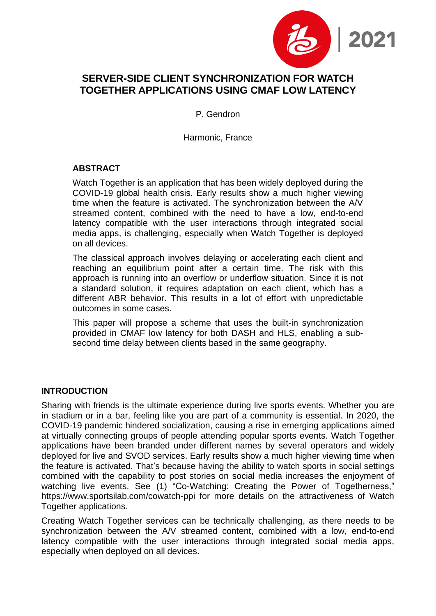

# **SERVER-SIDE CLIENT SYNCHRONIZATION FOR WATCH TOGETHER APPLICATIONS USING CMAF LOW LATENCY**

P. Gendron

Harmonic, France

## **ABSTRACT**

Watch Together is an application that has been widely deployed during the COVID-19 global health crisis. Early results show a much higher viewing time when the feature is activated. The synchronization between the A/V streamed content, combined with the need to have a low, end-to-end latency compatible with the user interactions through integrated social media apps, is challenging, especially when Watch Together is deployed on all devices.

The classical approach involves delaying or accelerating each client and reaching an equilibrium point after a certain time. The risk with this approach is running into an overflow or underflow situation. Since it is not a standard solution, it requires adaptation on each client, which has a different ABR behavior. This results in a lot of effort with unpredictable outcomes in some cases.

This paper will propose a scheme that uses the built-in synchronization provided in CMAF low latency for both DASH and HLS, enabling a subsecond time delay between clients based in the same geography.

### **INTRODUCTION**

Sharing with friends is the ultimate experience during live sports events. Whether you are in stadium or in a bar, feeling like you are part of a community is essential. In 2020, the COVID-19 pandemic hindered socialization, causing a rise in emerging applications aimed at virtually connecting groups of people attending popular sports events. Watch Together applications have been branded under different names by several operators and widely deployed for live and SVOD services. Early results show a much higher viewing time when the feature is activated. That's because having the ability to watch sports in social settings combined with the capability to post stories on social media increases the enjoyment of watching live events. See (1) ["Co-Watching: Creating the Power of](#page-10-0) Togetherness," [https://www.sportsilab.com/cowatch-ppi](#page-10-0) for more details on the attractiveness of Watch Together applications.

Creating Watch Together services can be technically challenging, as there needs to be synchronization between the A/V streamed content, combined with a low, end-to-end latency compatible with the user interactions through integrated social media apps, especially when deployed on all devices.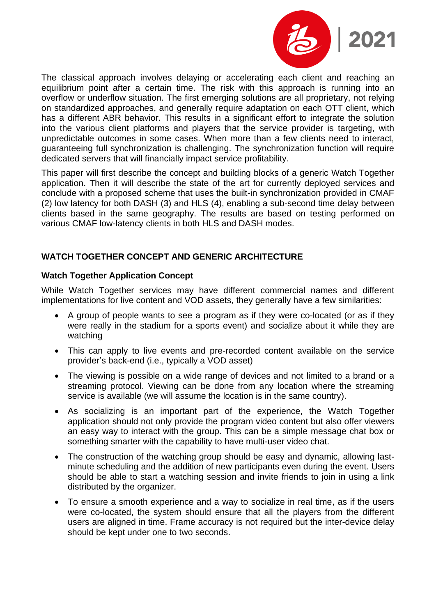

The classical approach involves delaying or accelerating each client and reaching an equilibrium point after a certain time. The risk with this approach is running into an overflow or underflow situation. The first emerging solutions are all proprietary, not relying on standardized approaches, and generally require adaptation on each OTT client, which has a different ABR behavior. This results in a significant effort to integrate the solution into the various client platforms and players that the service provider is targeting, with unpredictable outcomes in some cases. When more than a few clients need to interact, guaranteeing full synchronization is challenging. The synchronization function will require dedicated servers that will financially impact service profitability.

This paper will first describe the concept and building blocks of a generic Watch Together application. Then it will describe the state of the art for currently deployed services and conclude with a proposed scheme that uses the built-in synchronization provided in CMAF (2) low latency for both DASH (3) and HLS (4), enabling a sub-second time delay between clients based in the same geography. The results are based on testing performed on various CMAF low-latency clients in both HLS and DASH modes.

### **WATCH TOGETHER CONCEPT AND GENERIC ARCHITECTURE**

### **Watch Together Application Concept**

While Watch Together services may have different commercial names and different implementations for live content and VOD assets, they generally have a few similarities:

- A group of people wants to see a program as if they were co-located (or as if they were really in the stadium for a sports event) and socialize about it while they are watching
- This can apply to live events and pre-recorded content available on the service provider's back-end (i.e., typically a VOD asset)
- The viewing is possible on a wide range of devices and not limited to a brand or a streaming protocol. Viewing can be done from any location where the streaming service is available (we will assume the location is in the same country).
- As socializing is an important part of the experience, the Watch Together application should not only provide the program video content but also offer viewers an easy way to interact with the group. This can be a simple message chat box or something smarter with the capability to have multi-user video chat.
- The construction of the watching group should be easy and dynamic, allowing lastminute scheduling and the addition of new participants even during the event. Users should be able to start a watching session and invite friends to join in using a link distributed by the organizer.
- To ensure a smooth experience and a way to socialize in real time, as if the users were co-located, the system should ensure that all the players from the different users are aligned in time. Frame accuracy is not required but the inter-device delay should be kept under one to two seconds.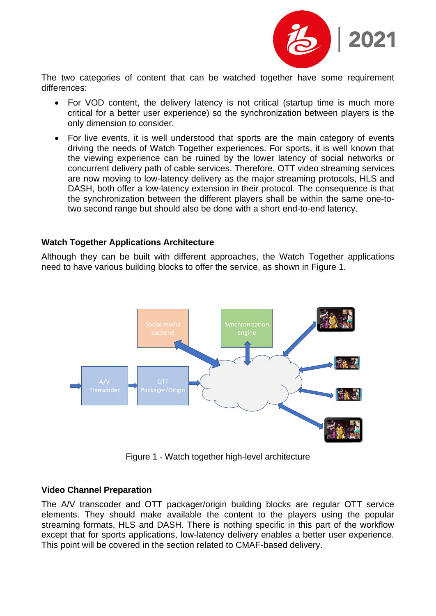

The two categories of content that can be watched together have some requirement differences:

- For VOD content, the delivery latency is not critical (startup time is much more critical for a better user experience) so the synchronization between players is the only dimension to consider.
- For live events, it is well understood that sports are the main category of events driving the needs of Watch Together experiences. For sports, it is well known that the viewing experience can be ruined by the lower latency of social networks or concurrent delivery path of cable services. Therefore, OTT video streaming services are now moving to low-latency delivery as the major streaming protocols, HLS and DASH, both offer a low-latency extension in their protocol. The consequence is that the synchronization between the different players shall be within the same one-totwo second range but should also be done with a short end-to-end latency.

### **Watch Together Applications Architecture**

Although they can be built with different approaches, the Watch Together applications need to have various building blocks to offer the service, as shown in Figure 1.



Figure 1 - Watch together high-level architecture

### **Video Channel Preparation**

The A/V transcoder and OTT packager/origin building blocks are regular OTT service elements. They should make available the content to the players using the popular streaming formats, HLS and DASH. There is nothing specific in this part of the workflow except that for sports applications, low-latency delivery enables a better user experience. This point will be covered in the section related to CMAF-based delivery.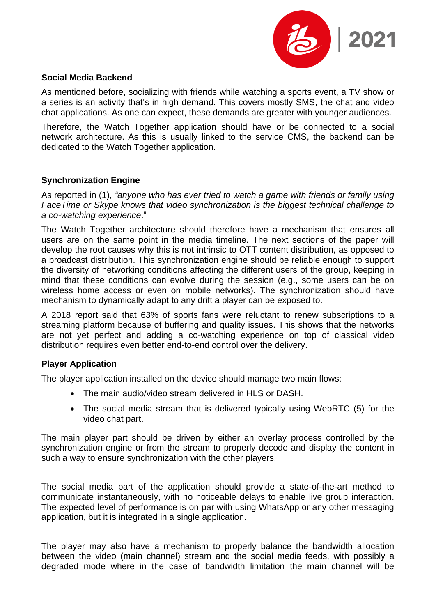

#### **Social Media Backend**

As mentioned before, socializing with friends while watching a sports event, a TV show or a series is an activity that's in high demand. This covers mostly SMS, the chat and video chat applications. As one can expect, these demands are greater with younger audiences.

Therefore, the Watch Together application should have or be connected to a social network architecture. As this is usually linked to the service CMS, the backend can be dedicated to the Watch Together application.

#### **Synchronization Engine**

As reported in (1), *"anyone who has ever tried to watch a game with friends or family using FaceTime or Skype knows that video synchronization is the biggest technical challenge to a co-watching experience*."

The Watch Together architecture should therefore have a mechanism that ensures all users are on the same point in the media timeline. The next sections of the paper will develop the root causes why this is not intrinsic to OTT content distribution, as opposed to a broadcast distribution. This synchronization engine should be reliable enough to support the diversity of networking conditions affecting the different users of the group, keeping in mind that these conditions can evolve during the session (e.g., some users can be on wireless home access or even on mobile networks). The synchronization should have mechanism to dynamically adapt to any drift a player can be exposed to.

A 2018 report said that 63% of sports fans were reluctant to renew subscriptions to a streaming platform because of buffering and quality issues. This shows that the networks are not yet perfect and adding a co-watching experience on top of classical video distribution requires even better end-to-end control over the delivery.

### **Player Application**

The player application installed on the device should manage two main flows:

- The main audio/video stream delivered in HLS or DASH.
- The social media stream that is delivered typically using WebRTC (5) for the video chat part.

The main player part should be driven by either an overlay process controlled by the synchronization engine or from the stream to properly decode and display the content in such a way to ensure synchronization with the other players.

The social media part of the application should provide a state-of-the-art method to communicate instantaneously, with no noticeable delays to enable live group interaction. The expected level of performance is on par with using WhatsApp or any other messaging application, but it is integrated in a single application.

The player may also have a mechanism to properly balance the bandwidth allocation between the video (main channel) stream and the social media feeds, with possibly a degraded mode where in the case of bandwidth limitation the main channel will be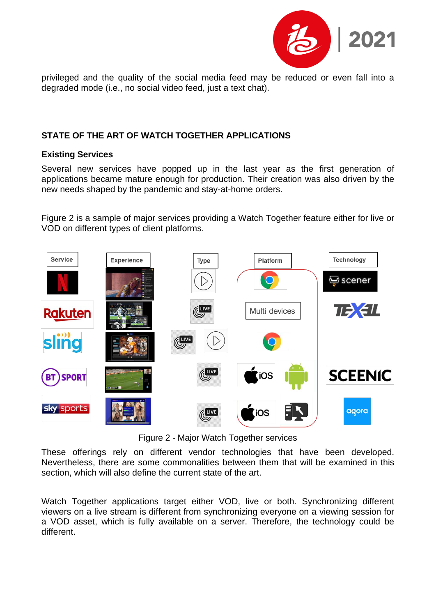

privileged and the quality of the social media feed may be reduced or even fall into a degraded mode (i.e., no social video feed, just a text chat).

### **STATE OF THE ART OF WATCH TOGETHER APPLICATIONS**

### **Existing Services**

Several new services have popped up in the last year as the first generation of applications became mature enough for production. Their creation was also driven by the new needs shaped by the pandemic and stay-at-home orders.

Figure 2 is a sample of major services providing a Watch Together feature either for live or VOD on different types of client platforms.



Figure 2 - Major Watch Together services

These offerings rely on different vendor technologies that have been developed. Nevertheless, there are some commonalities between them that will be examined in this section, which will also define the current state of the art.

Watch Together applications target either VOD, live or both. Synchronizing different viewers on a live stream is different from synchronizing everyone on a viewing session for a VOD asset, which is fully available on a server. Therefore, the technology could be different.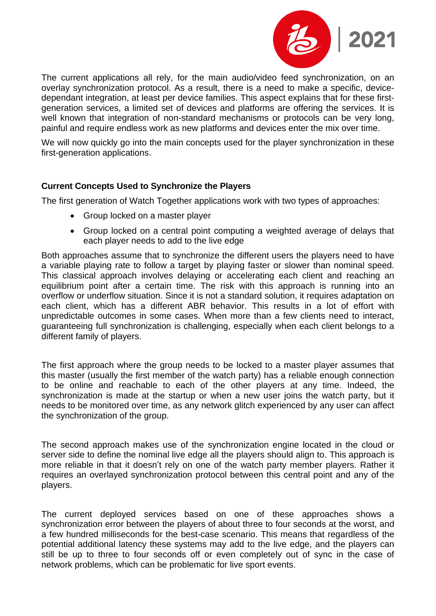

The current applications all rely, for the main audio/video feed synchronization, on an overlay synchronization protocol. As a result, there is a need to make a specific, devicedependant integration, at least per device families. This aspect explains that for these firstgeneration services, a limited set of devices and platforms are offering the services. It is well known that integration of non-standard mechanisms or protocols can be very long, painful and require endless work as new platforms and devices enter the mix over time.

We will now quickly go into the main concepts used for the player synchronization in these first-generation applications.

## **Current Concepts Used to Synchronize the Players**

The first generation of Watch Together applications work with two types of approaches:

- Group locked on a master player
- Group locked on a central point computing a weighted average of delays that each player needs to add to the live edge

Both approaches assume that to synchronize the different users the players need to have a variable playing rate to follow a target by playing faster or slower than nominal speed. This classical approach involves delaying or accelerating each client and reaching an equilibrium point after a certain time. The risk with this approach is running into an overflow or underflow situation. Since it is not a standard solution, it requires adaptation on each client, which has a different ABR behavior. This results in a lot of effort with unpredictable outcomes in some cases. When more than a few clients need to interact, guaranteeing full synchronization is challenging, especially when each client belongs to a different family of players.

The first approach where the group needs to be locked to a master player assumes that this master (usually the first member of the watch party) has a reliable enough connection to be online and reachable to each of the other players at any time. Indeed, the synchronization is made at the startup or when a new user joins the watch party, but it needs to be monitored over time, as any network glitch experienced by any user can affect the synchronization of the group.

The second approach makes use of the synchronization engine located in the cloud or server side to define the nominal live edge all the players should align to. This approach is more reliable in that it doesn't rely on one of the watch party member players. Rather it requires an overlayed synchronization protocol between this central point and any of the players.

The current deployed services based on one of these approaches shows a synchronization error between the players of about three to four seconds at the worst, and a few hundred milliseconds for the best-case scenario. This means that regardless of the potential additional latency these systems may add to the live edge, and the players can still be up to three to four seconds off or even completely out of sync in the case of network problems, which can be problematic for live sport events.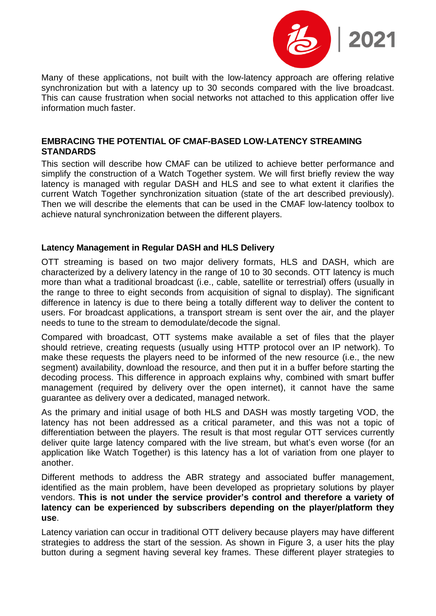

Many of these applications, not built with the low-latency approach are offering relative synchronization but with a latency up to 30 seconds compared with the live broadcast. This can cause frustration when social networks not attached to this application offer live information much faster.

### **EMBRACING THE POTENTIAL OF CMAF-BASED LOW-LATENCY STREAMING STANDARDS**

This section will describe how CMAF can be utilized to achieve better performance and simplify the construction of a Watch Together system. We will first briefly review the way latency is managed with regular DASH and HLS and see to what extent it clarifies the current Watch Together synchronization situation (state of the art described previously). Then we will describe the elements that can be used in the CMAF low-latency toolbox to achieve natural synchronization between the different players.

### **Latency Management in Regular DASH and HLS Delivery**

OTT streaming is based on two major delivery formats, HLS and DASH, which are characterized by a delivery latency in the range of 10 to 30 seconds. OTT latency is much more than what a traditional broadcast (i.e., cable, satellite or terrestrial) offers (usually in the range to three to eight seconds from acquisition of signal to display). The significant difference in latency is due to there being a totally different way to deliver the content to users. For broadcast applications, a transport stream is sent over the air, and the player needs to tune to the stream to demodulate/decode the signal.

Compared with broadcast, OTT systems make available a set of files that the player should retrieve, creating requests (usually using HTTP protocol over an IP network). To make these requests the players need to be informed of the new resource (i.e., the new segment) availability, download the resource, and then put it in a buffer before starting the decoding process. This difference in approach explains why, combined with smart buffer management (required by delivery over the open internet), it cannot have the same guarantee as delivery over a dedicated, managed network.

As the primary and initial usage of both HLS and DASH was mostly targeting VOD, the latency has not been addressed as a critical parameter, and this was not a topic of differentiation between the players. The result is that most regular OTT services currently deliver quite large latency compared with the live stream, but what's even worse (for an application like Watch Together) is this latency has a lot of variation from one player to another.

Different methods to address the ABR strategy and associated buffer management, identified as the main problem, have been developed as proprietary solutions by player vendors. **This is not under the service provider's control and therefore a variety of latency can be experienced by subscribers depending on the player/platform they use**.

Latency variation can occur in traditional OTT delivery because players may have different strategies to address the start of the session. As shown in [Figure 3,](#page-7-0) a user hits the play button during a segment having several key frames. These different player strategies to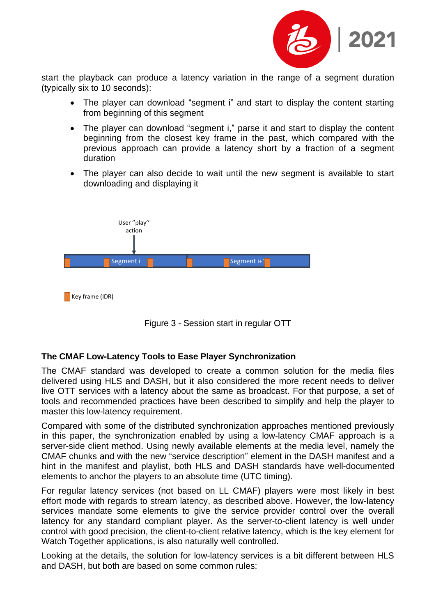

start the playback can produce a latency variation in the range of a segment duration (typically six to 10 seconds):

- The player can download "segment i" and start to display the content starting from beginning of this segment
- The player can download "segment i," parse it and start to display the content beginning from the closest key frame in the past, which compared with the previous approach can provide a latency short by a fraction of a segment duration
- The player can also decide to wait until the new segment is available to start downloading and displaying it



 $\blacksquare$  Key frame (IDR)



# <span id="page-7-0"></span>**The CMAF Low-Latency Tools to Ease Player Synchronization**

The CMAF standard was developed to create a common solution for the media files delivered using HLS and DASH, but it also considered the more recent needs to deliver live OTT services with a latency about the same as broadcast. For that purpose, a set of tools and recommended practices have been described to simplify and help the player to master this low-latency requirement.

Compared with some of the distributed synchronization approaches mentioned previously in this paper, the synchronization enabled by using a low-latency CMAF approach is a server-side client method. Using newly available elements at the media level, namely the CMAF chunks and with the new "service description" element in the DASH manifest and a hint in the manifest and playlist, both HLS and DASH standards have well-documented elements to anchor the players to an absolute time (UTC timing).

For regular latency services (not based on LL CMAF) players were most likely in best effort mode with regards to stream latency, as described above. However, the low-latency services mandate some elements to give the service provider control over the overall latency for any standard compliant player. As the server-to-client latency is well under control with good precision, the client-to-client relative latency, which is the key element for Watch Together applications, is also naturally well controlled.

Looking at the details, the solution for low-latency services is a bit different between HLS and DASH, but both are based on some common rules: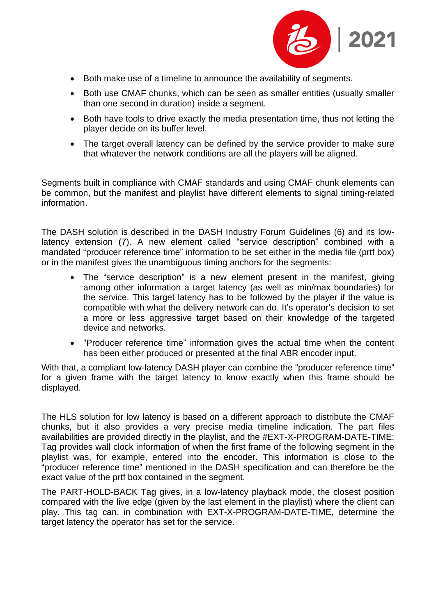

- Both make use of a timeline to announce the availability of segments.
- Both use CMAF chunks, which can be seen as smaller entities (usually smaller than one second in duration) inside a segment.
- Both have tools to drive exactly the media presentation time, thus not letting the player decide on its buffer level.
- The target overall latency can be defined by the service provider to make sure that whatever the network conditions are all the players will be aligned.

Segments built in compliance with CMAF standards and using CMAF chunk elements can be common, but the manifest and playlist have different elements to signal timing-related information.

The DASH solution is described in the DASH Industry Forum Guidelines (6) and its lowlatency extension (7). A new element called "service description" combined with a mandated "producer reference time" information to be set either in the media file (prtf box) or in the manifest gives the unambiguous timing anchors for the segments:

- The "service description" is a new element present in the manifest, giving among other information a target latency (as well as min/max boundaries) for the service. This target latency has to be followed by the player if the value is compatible with what the delivery network can do. It's operator's decision to set a more or less aggressive target based on their knowledge of the targeted device and networks.
- "Producer reference time" information gives the actual time when the content has been either produced or presented at the final ABR encoder input.

With that, a compliant low-latency DASH player can combine the "producer reference time" for a given frame with the target latency to know exactly when this frame should be displayed.

The HLS solution for low latency is based on a different approach to distribute the CMAF chunks, but it also provides a very precise media timeline indication. The part files availabilities are provided directly in the playlist, and the #EXT-X-PROGRAM-DATE-TIME: Tag provides wall clock information of when the first frame of the following segment in the playlist was, for example, entered into the encoder. This information is close to the "producer reference time" mentioned in the DASH specification and can therefore be the exact value of the prtf box contained in the segment.

The PART-HOLD-BACK Tag gives, in a low-latency playback mode, the closest position compared with the live edge (given by the last element in the playlist) where the client can play. This tag can, in combination with EXT-X-PROGRAM-DATE-TIME, determine the target latency the operator has set for the service.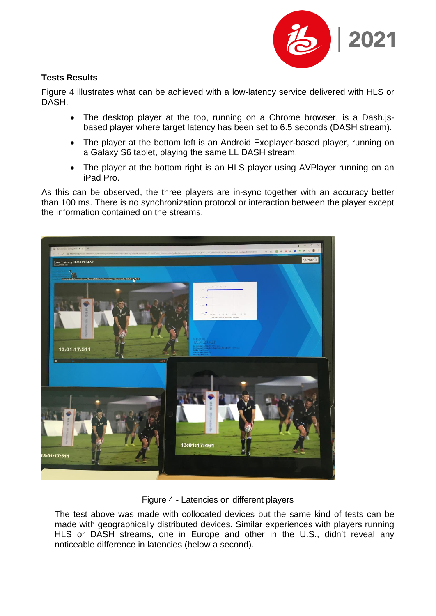

## **Tests Results**

[Figure 4](#page-9-0) illustrates what can be achieved with a low-latency service delivered with HLS or DASH.

- The desktop player at the top, running on a Chrome browser, is a Dash.jsbased player where target latency has been set to 6.5 seconds (DASH stream).
- The player at the bottom left is an Android Exoplayer-based player, running on a Galaxy S6 tablet, playing the same LL DASH stream.
- The player at the bottom right is an HLS player using AVPlayer running on an iPad Pro.

As this can be observed, the three players are in-sync together with an accuracy better than 100 ms. There is no synchronization protocol or interaction between the player except the information contained on the streams.



Figure 4 - Latencies on different players

<span id="page-9-0"></span>The test above was made with collocated devices but the same kind of tests can be made with geographically distributed devices. Similar experiences with players running HLS or DASH streams, one in Europe and other in the U.S., didn't reveal any noticeable difference in latencies (below a second).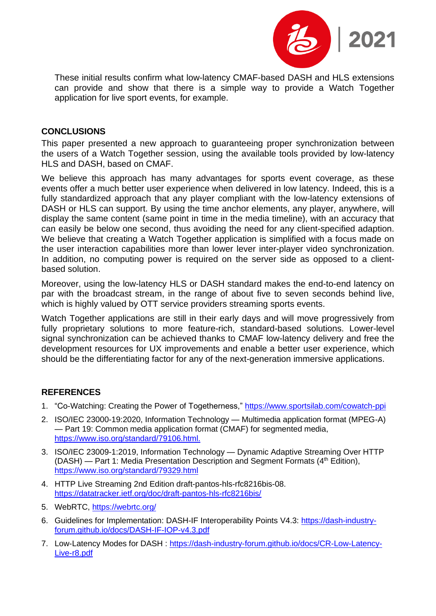

These initial results confirm what low-latency CMAF-based DASH and HLS extensions can provide and show that there is a simple way to provide a Watch Together application for live sport events, for example.

### **CONCLUSIONS**

This paper presented a new approach to guaranteeing proper synchronization between the users of a Watch Together session, using the available tools provided by low-latency HLS and DASH, based on CMAF.

We believe this approach has many advantages for sports event coverage, as these events offer a much better user experience when delivered in low latency. Indeed, this is a fully standardized approach that any player compliant with the low-latency extensions of DASH or HLS can support. By using the time anchor elements, any player, anywhere, will display the same content (same point in time in the media timeline), with an accuracy that can easily be below one second, thus avoiding the need for any client-specified adaption. We believe that creating a Watch Together application is simplified with a focus made on the user interaction capabilities more than lower lever inter-player video synchronization. In addition, no computing power is required on the server side as opposed to a clientbased solution.

Moreover, using the low-latency HLS or DASH standard makes the end-to-end latency on par with the broadcast stream, in the range of about five to seven seconds behind live, which is highly valued by OTT service providers streaming sports events.

Watch Together applications are still in their early days and will move progressively from fully proprietary solutions to more feature-rich, standard-based solutions. Lower-level signal synchronization can be achieved thanks to CMAF low-latency delivery and free the development resources for UX improvements and enable a better user experience, which should be the differentiating factor for any of the next-generation immersive applications.

### **REFERENCES**

- <span id="page-10-0"></span>1. "Co-Watching: Creating the Power of Togetherness," <https://www.sportsilab.com/cowatch-ppi>
- 2. ISO/IEC 23000-19:2020, Information Technology Multimedia application format (MPEG-A) — Part 19: Common media application format (CMAF) for segmented media, [https://www.iso.org/standard/79106.html.](https://www.iso.org/standard/79106.html)
- 3. ISO/IEC 23009-1:2019, Information Technology Dynamic Adaptive Streaming Over HTTP (DASH) — Part 1: Media Presentation Description and Segment Formats (4<sup>th</sup> Edition), <https://www.iso.org/standard/79329.html>
- 4. HTTP Live Streaming 2nd Edition draft-pantos-hls-rfc8216bis-08. <https://datatracker.ietf.org/doc/draft-pantos-hls-rfc8216bis/>
- 5. WebRTC, <https://webrtc.org/>
- 6. Guidelines for Implementation: DASH-IF Interoperability Points V4.3: [https://dash-industry](https://dash-industry-forum.github.io/docs/DASH-IF-IOP-v4.3.pdf)[forum.github.io/docs/DASH-IF-IOP-v4.3.pdf](https://dash-industry-forum.github.io/docs/DASH-IF-IOP-v4.3.pdf)
- 7. Low-Latency Modes for DASH : [https://dash-industry-forum.github.io/docs/CR-Low-Latency-](https://dash-industry-forum.github.io/docs/CR-Low-Latency-Live-r8.pdf)[Live-r8.pdf](https://dash-industry-forum.github.io/docs/CR-Low-Latency-Live-r8.pdf)